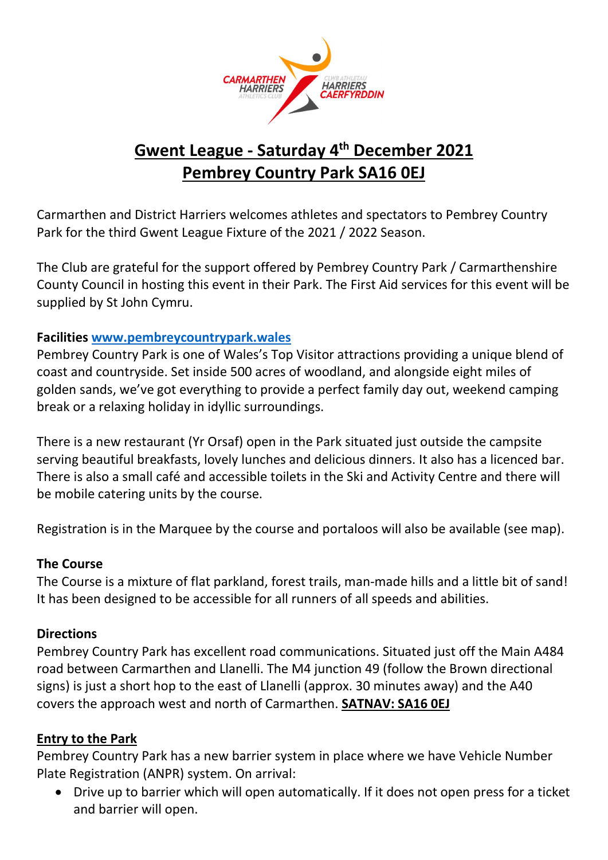

# Gwent League - Saturday 4th December 2021 Pembrey Country Park SA16 0EJ

Carmarthen and District Harriers welcomes athletes and spectators to Pembrey Country Park for the third Gwent League Fixture of the 2021 / 2022 Season.

The Club are grateful for the support offered by Pembrey Country Park / Carmarthenshire County Council in hosting this event in their Park. The First Aid services for this event will be supplied by St John Cymru.

#### Facilities www.pembreycountrypark.wales

Pembrey Country Park is one of Wales's Top Visitor attractions providing a unique blend of coast and countryside. Set inside 500 acres of woodland, and alongside eight miles of golden sands, we've got everything to provide a perfect family day out, weekend camping break or a relaxing holiday in idyllic surroundings.

There is a new restaurant (Yr Orsaf) open in the Park situated just outside the campsite serving beautiful breakfasts, lovely lunches and delicious dinners. It also has a licenced bar. There is also a small café and accessible toilets in the Ski and Activity Centre and there will be mobile catering units by the course.

Registration is in the Marquee by the course and portaloos will also be available (see map).

#### The Course

The Course is a mixture of flat parkland, forest trails, man-made hills and a little bit of sand! It has been designed to be accessible for all runners of all speeds and abilities.

#### **Directions**

Pembrey Country Park has excellent road communications. Situated just off the Main A484 road between Carmarthen and Llanelli. The M4 junction 49 (follow the Brown directional signs) is just a short hop to the east of Llanelli (approx. 30 minutes away) and the A40 covers the approach west and north of Carmarthen. SATNAV: SA16 0EJ

#### Entry to the Park

Pembrey Country Park has a new barrier system in place where we have Vehicle Number Plate Registration (ANPR) system. On arrival:

 Drive up to barrier which will open automatically. If it does not open press for a ticket and barrier will open.